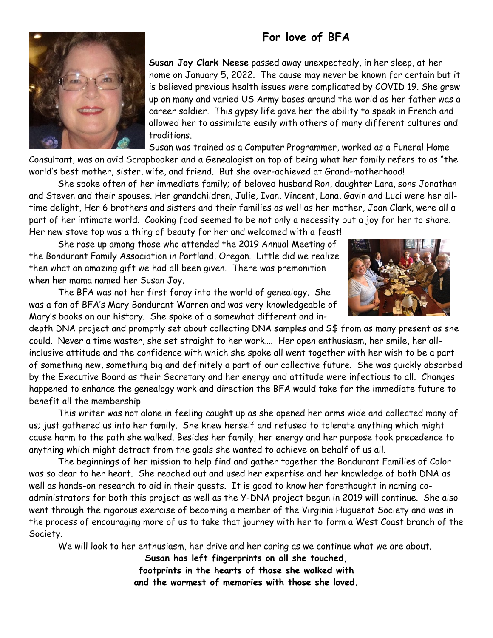## **For love of BFA**



**Susan Joy Clark Neese** passed away unexpectedly, in her sleep, at her home on January 5, 2022. The cause may never be known for certain but it is believed previous health issues were complicated by COVID 19. She grew up on many and varied US Army bases around the world as her father was a career soldier. This gypsy life gave her the ability to speak in French and allowed her to assimilate easily with others of many different cultures and traditions.

Susan was trained as a Computer Programmer, worked as a Funeral Home

Consultant, was an avid Scrapbooker and a Genealogist on top of being what her family refers to as "the world's best mother, sister, wife, and friend. But she over-achieved at Grand-motherhood!

She spoke often of her immediate family; of beloved husband Ron, daughter Lara, sons Jonathan and Steven and their spouses. Her grandchildren, Julie, Ivan, Vincent, Lana, Gavin and Luci were her alltime delight, Her 6 brothers and sisters and their families as well as her mother, Joan Clark, were all a part of her intimate world. Cooking food seemed to be not only a necessity but a joy for her to share. Her new stove top was a thing of beauty for her and welcomed with a feast!

She rose up among those who attended the 2019 Annual Meeting of the Bondurant Family Association in Portland, Oregon. Little did we realize then what an amazing gift we had all been given. There was premonition when her mama named her Susan Joy.

The BFA was not her first foray into the world of genealogy. She was a fan of BFA's Mary Bondurant Warren and was very knowledgeable of Mary's books on our history. She spoke of a somewhat different and in-



depth DNA project and promptly set about collecting DNA samples and \$\$ from as many present as she could. Never a time waster, she set straight to her work…. Her open enthusiasm, her smile, her allinclusive attitude and the confidence with which she spoke all went together with her wish to be a part of something new, something big and definitely a part of our collective future. She was quickly absorbed by the Executive Board as their Secretary and her energy and attitude were infectious to all. Changes happened to enhance the genealogy work and direction the BFA would take for the immediate future to benefit all the membership.

This writer was not alone in feeling caught up as she opened her arms wide and collected many of us; just gathered us into her family. She knew herself and refused to tolerate anything which might cause harm to the path she walked. Besides her family, her energy and her purpose took precedence to anything which might detract from the goals she wanted to achieve on behalf of us all.

The beginnings of her mission to help find and gather together the Bondurant Families of Color was so dear to her heart. She reached out and used her expertise and her knowledge of both DNA as well as hands-on research to aid in their quests. It is good to know her forethought in naming coadministrators for both this project as well as the Y-DNA project begun in 2019 will continue. She also went through the rigorous exercise of becoming a member of the Virginia Huguenot Society and was in the process of encouraging more of us to take that journey with her to form a West Coast branch of the Society.

We will look to her enthusiasm, her drive and her caring as we continue what we are about.

**Susan has left fingerprints on all she touched, footprints in the hearts of those she walked with and the warmest of memories with those she loved.**